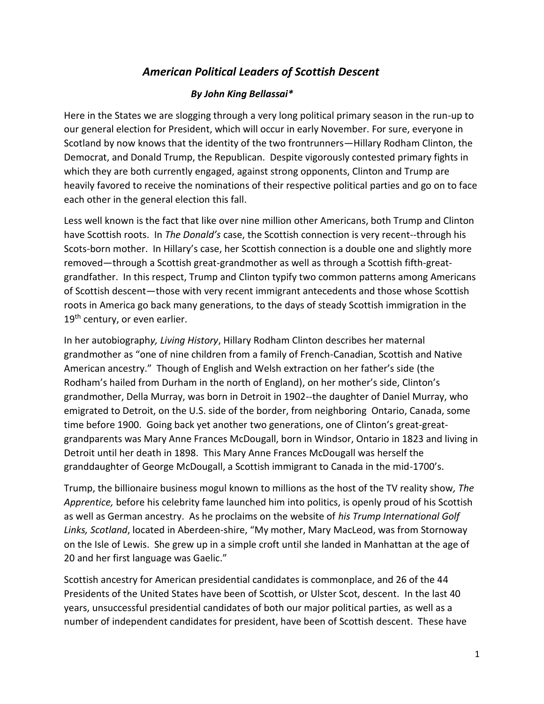## *American Political Leaders of Scottish Descent*

## *By John King Bellassai\**

Here in the States we are slogging through a very long political primary season in the run-up to our general election for President, which will occur in early November. For sure, everyone in Scotland by now knows that the identity of the two frontrunners—Hillary Rodham Clinton, the Democrat, and Donald Trump, the Republican. Despite vigorously contested primary fights in which they are both currently engaged, against strong opponents, Clinton and Trump are heavily favored to receive the nominations of their respective political parties and go on to face each other in the general election this fall.

Less well known is the fact that like over nine million other Americans, both Trump and Clinton have Scottish roots. In *The Donald's* case, the Scottish connection is very recent--through his Scots-born mother. In Hillary's case, her Scottish connection is a double one and slightly more removed—through a Scottish great-grandmother as well as through a Scottish fifth-greatgrandfather. In this respect, Trump and Clinton typify two common patterns among Americans of Scottish descent—those with very recent immigrant antecedents and those whose Scottish roots in America go back many generations, to the days of steady Scottish immigration in the  $19<sup>th</sup>$  century, or even earlier.

In her autobiograph*y, Living History*, Hillary Rodham Clinton describes her maternal grandmother as "one of nine children from a family of French-Canadian, Scottish and Native American ancestry." Though of English and Welsh extraction on her father's side (the Rodham's hailed from Durham in the north of England), on her mother's side, Clinton's grandmother, Della Murray, was born in Detroit in 1902--the daughter of Daniel Murray, who emigrated to Detroit, on the U.S. side of the border, from neighboring Ontario, Canada, some time before 1900. Going back yet another two generations, one of Clinton's great-greatgrandparents was Mary Anne Frances McDougall, born in Windsor, Ontario in 1823 and living in Detroit until her death in 1898. This Mary Anne Frances McDougall was herself the granddaughter of George McDougall, a Scottish immigrant to Canada in the mid-1700's.

Trump, the billionaire business mogul known to millions as the host of the TV reality show*, The Apprentice,* before his celebrity fame launched him into politics, is openly proud of his Scottish as well as German ancestry. As he proclaims on the website of *his Trump International Golf Links, Scotland*, located in Aberdeen-shire, "My mother, Mary MacLeod, was from Stornoway on the Isle of Lewis. She grew up in a simple croft until she landed in Manhattan at the age of 20 and her first language was Gaelic."

Scottish ancestry for American presidential candidates is commonplace, and 26 of the 44 Presidents of the United States have been of Scottish, or Ulster Scot, descent. In the last 40 years, unsuccessful presidential candidates of both our major political parties, as well as a number of independent candidates for president, have been of Scottish descent. These have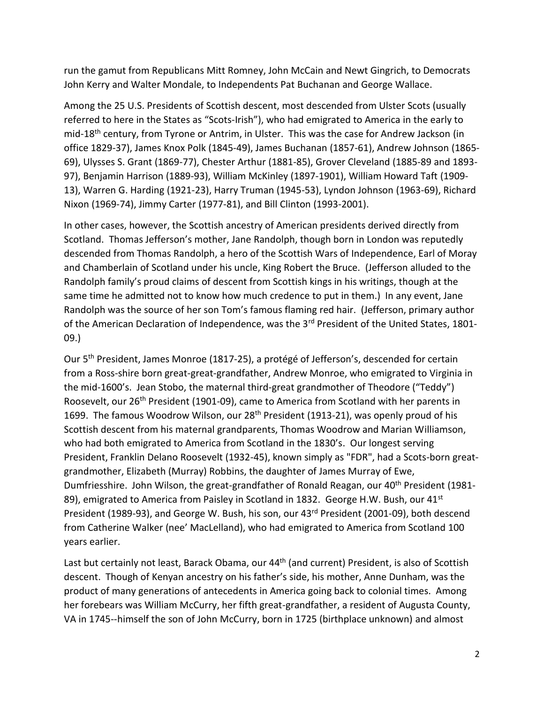run the gamut from Republicans Mitt Romney, John McCain and Newt Gingrich, to Democrats John Kerry and Walter Mondale, to Independents Pat Buchanan and George Wallace.

Among the 25 U.S. Presidents of Scottish descent, most descended from Ulster Scots (usually referred to here in the States as "Scots-Irish"), who had emigrated to America in the early to mid-18th century, from Tyrone or Antrim, in Ulster. This was the case for Andrew Jackson (in office 1829-37), James Knox Polk (1845-49), James Buchanan (1857-61), Andrew Johnson (1865- 69), Ulysses S. Grant (1869-77), Chester Arthur (1881-85), Grover Cleveland (1885-89 and 1893- 97), Benjamin Harrison (1889-93), William McKinley (1897-1901), William Howard Taft (1909- 13), Warren G. Harding (1921-23), Harry Truman (1945-53), Lyndon Johnson (1963-69), Richard Nixon (1969-74), Jimmy Carter (1977-81), and Bill Clinton (1993-2001).

In other cases, however, the Scottish ancestry of American presidents derived directly from Scotland. Thomas Jefferson's mother, Jane Randolph, though born in London was reputedly descended from Thomas Randolph, a hero of the Scottish Wars of Independence, Earl of Moray and Chamberlain of Scotland under his uncle, King Robert the Bruce. (Jefferson alluded to the Randolph family's proud claims of descent from Scottish kings in his writings, though at the same time he admitted not to know how much credence to put in them.) In any event, Jane Randolph was the source of her son Tom's famous flaming red hair. (Jefferson, primary author of the American Declaration of Independence, was the 3<sup>rd</sup> President of the United States, 1801-09.)

Our 5th President, James Monroe (1817-25), a protégé of Jefferson's, descended for certain from a Ross-shire born great-great-grandfather, Andrew Monroe, who emigrated to Virginia in the mid-1600's. Jean Stobo, the maternal third-great grandmother of Theodore ("Teddy") Roosevelt, our 26<sup>th</sup> President (1901-09), came to America from Scotland with her parents in 1699. The famous Woodrow Wilson, our 28<sup>th</sup> President (1913-21), was openly proud of his Scottish descent from his maternal grandparents, Thomas Woodrow and Marian Williamson, who had both emigrated to America from Scotland in the 1830's. Our longest serving President, Franklin Delano Roosevelt (1932-45), known simply as "FDR", had a Scots-born greatgrandmother, Elizabeth (Murray) Robbins, the daughter of James Murray of Ewe, Dumfriesshire. John Wilson, the great-grandfather of Ronald Reagan, our 40<sup>th</sup> President (1981-89), emigrated to America from Paisley in Scotland in 1832. George H.W. Bush, our 41<sup>st</sup> President (1989-93), and George W. Bush, his son, our 43<sup>rd</sup> President (2001-09), both descend from Catherine Walker (nee' MacLelland), who had emigrated to America from Scotland 100 years earlier.

Last but certainly not least, Barack Obama, our 44<sup>th</sup> (and current) President, is also of Scottish descent. Though of Kenyan ancestry on his father's side, his mother, Anne Dunham, was the product of many generations of antecedents in America going back to colonial times. Among her forebears was William McCurry, her fifth great-grandfather, a resident of Augusta County, VA in 1745--himself the son of John McCurry, born in 1725 (birthplace unknown) and almost